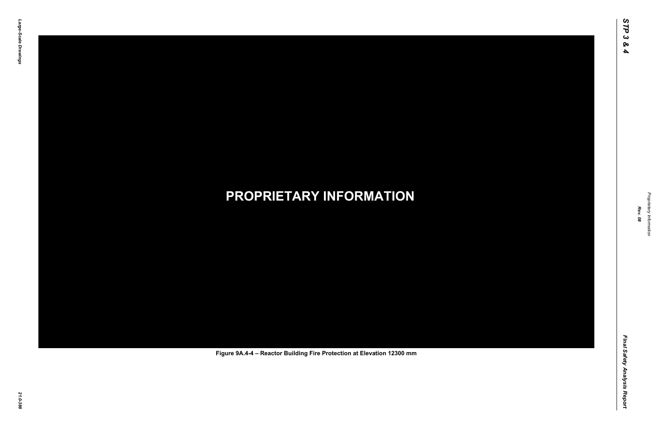Final Safety Analysis Report *Final Safety Analysis Report*



Proprietary Information *Proprietary Information*

# *21.0-388* **PROPRIETARY INFORMATION Figure 9A.4-4 – Reactor Building Fire Protection at Elevation 12300 mm**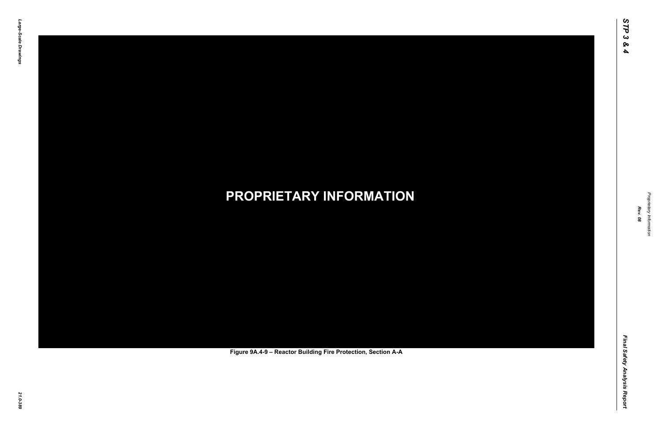Final Safety Analysis Report *Final Safety Analysis Report*



Proprietary Information *Proprietary Information*

# *21.0-389* **PROPRIETARY INFORMATION Figure 9A.4-9 – Reactor Building Fire Protection, Section A-A**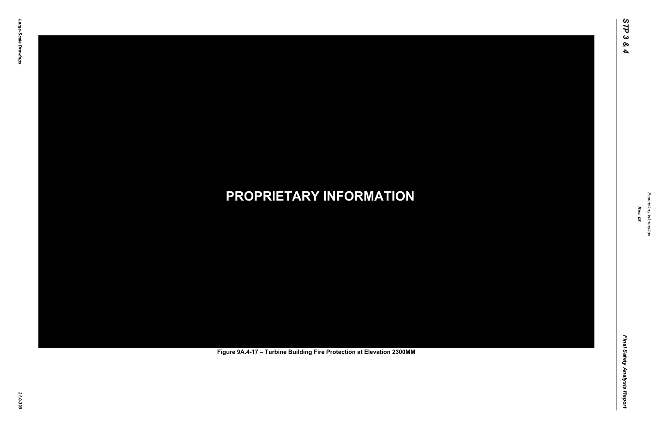Final Safety Analysis Report *Final Safety Analysis Report*



Proprietary Information *Proprietary Information*

# *21.0-390* **PROPRIETARY INFORMATION Figure 9A.4-17 – Turbine Building Fire Protection at Elevation 2300MM**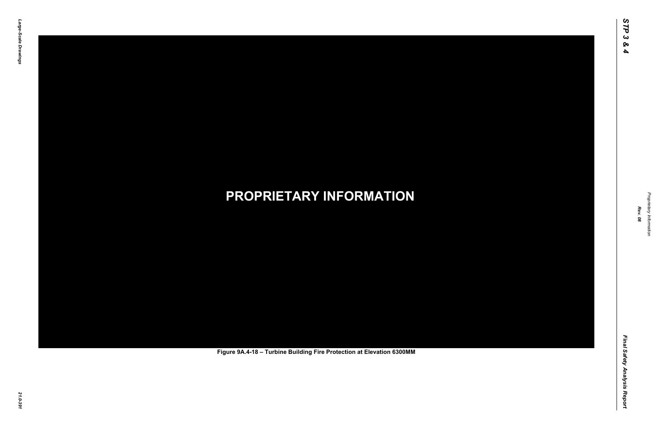Final Safety Analysis Report *Final Safety Analysis Report*



Proprietary Information *Proprietary Information*

# *21.0-391* **PROPRIETARY INFORMATION Figure 9A.4-18 – Turbine Building Fire Protection at Elevation 6300MM**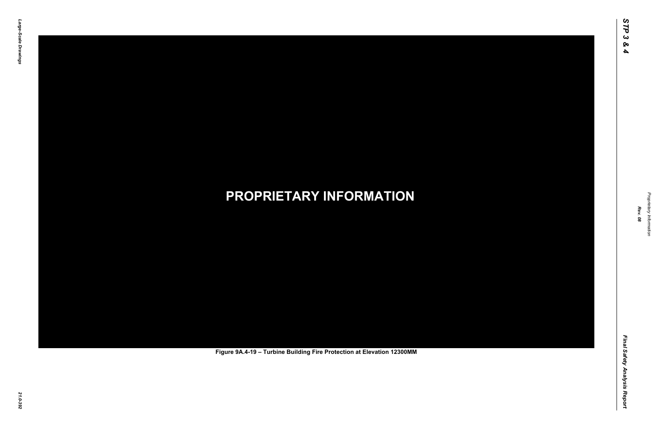Final Safety Analysis Report *Final Safety Analysis Report*



Proprietary Information *Proprietary Information*

# *21.0-392* **PROPRIETARY INFORMATION Figure 9A.4-19 – Turbine Building Fire Protection at Elevation 12300MM**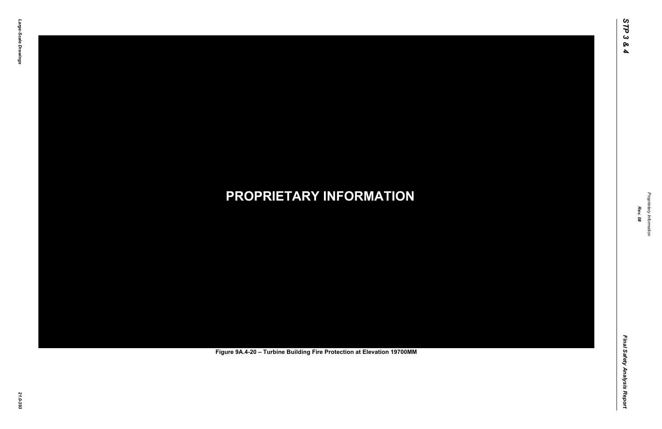Final Safety Analysis Report *Final Safety Analysis Report*



Proprietary Information *Proprietary Information*

# *21.0-393* **PROPRIETARY INFORMATION Figure 9A.4-20 – Turbine Building Fire Protection at Elevation 19700MM**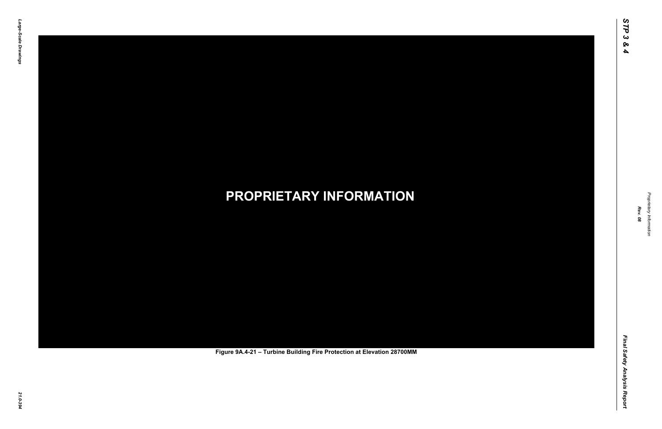Final Safety Analysis Report *Final Safety Analysis Report*



Proprietary Information *Proprietary Information*

# *21.0-394* **PROPRIETARY INFORMATION Figure 9A.4-21 – Turbine Building Fire Protection at Elevation 28700MM**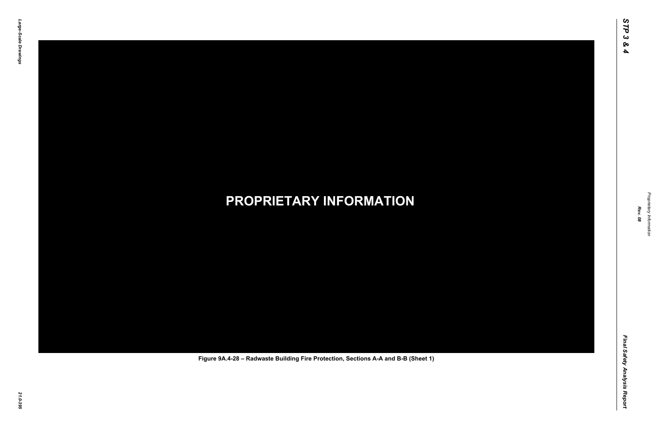Final Safety Analysis Report *Final Safety Analysis Report*



Proprietary Information *Proprietary Information*

### *21.0-395* **PROPRIETARY INFORMATION Figure 9A.4-28 – Radwaste Building Fire Protection, Sections A-A and B-B (Sheet 1)**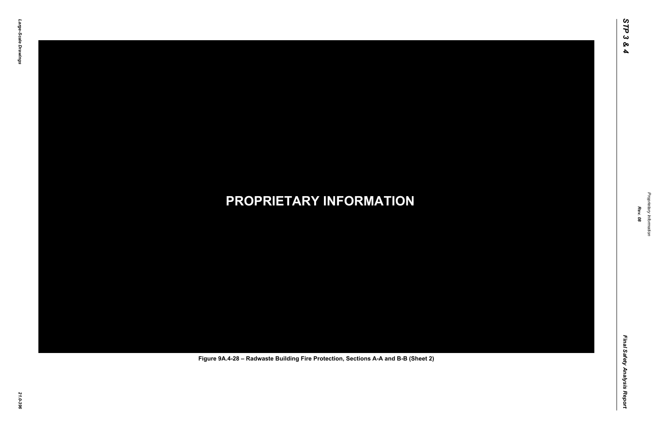Final Safety Analysis Report *Final Safety Analysis Report*



Proprietary Information *Proprietary Information*

### *21.0-396* **PROPRIETARY INFORMATION Figure 9A.4-28 – Radwaste Building Fire Protection, Sections A-A and B-B (Sheet 2)**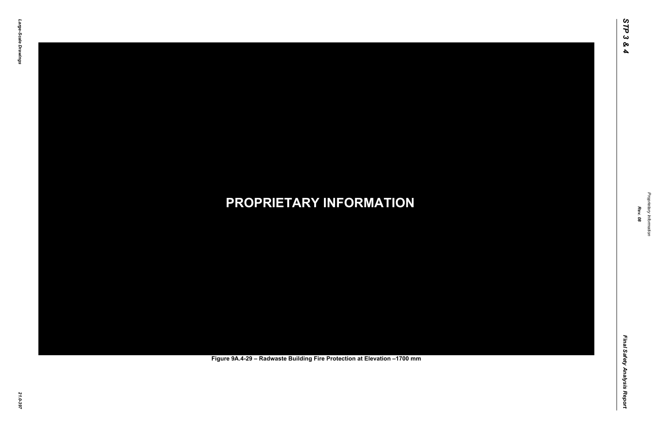Final Safety Analysis Report *Final Safety Analysis Report*



Proprietary Information *Proprietary Information*

### *21.0-397* **PROPRIETARY INFORMATION Figure 9A.4-29 – Radwaste Building Fire Protection at Elevation –1700 mm**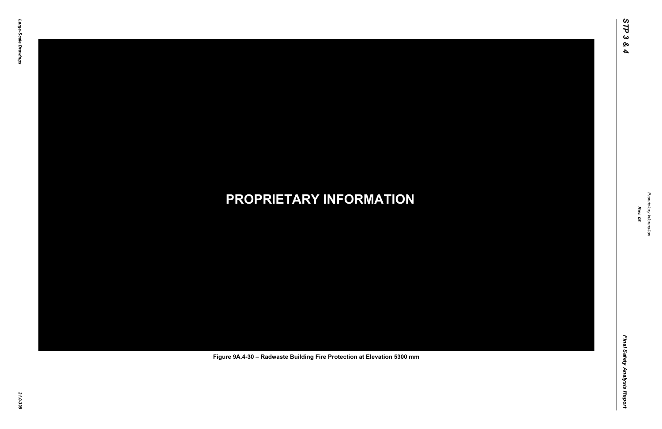Final Safety Analysis Report *Final Safety Analysis Report*



Proprietary Information *Proprietary Information*

### *21.0-398* **PROPRIETARY INFORMATION Figure 9A.4-30 – Radwaste Building Fire Protection at Elevation 5300 mm**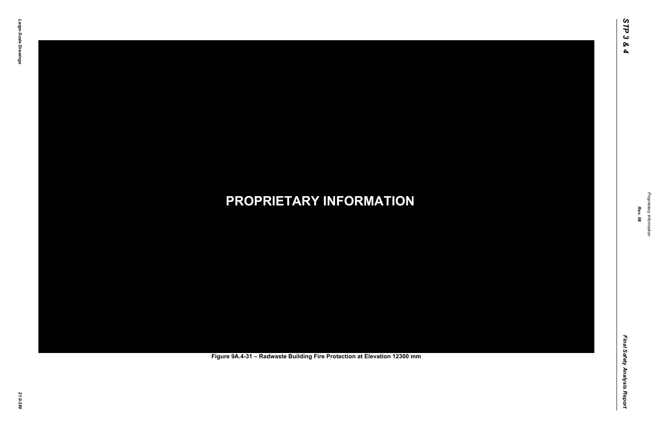Final Safety Analysis Report *Final Safety Analysis Report*



Proprietary Information *Proprietary Information*

### *21.0-399* **PROPRIETARY INFORMATION Figure 9A.4-31 – Radwaste Building Fire Protection at Elevation 12300 mm**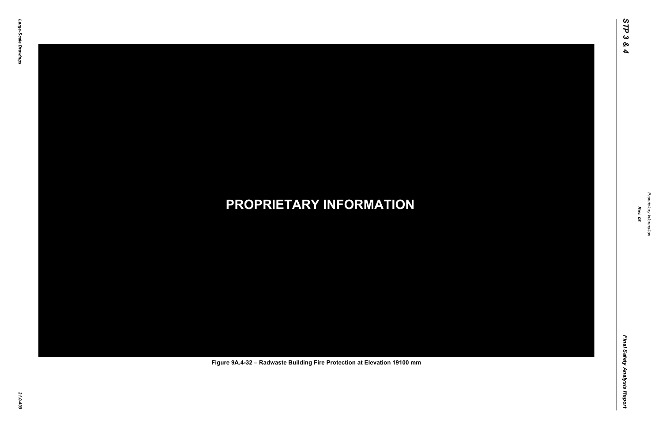Final Safety Analysis Report *Final Safety Analysis Report*



Proprietary Information *Proprietary Information*

#### *21.0-400* **PROPRIETARY INFORMATION Figure 9A.4-32 – Radwaste Building Fire Protection at Elevation 19100 mm**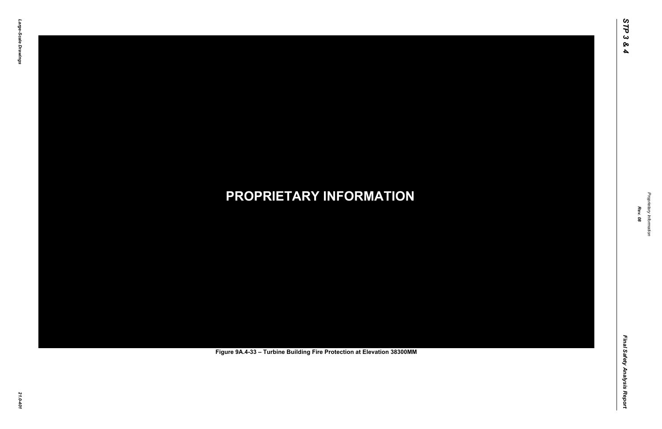Final Safety Analysis Report *Final Safety Analysis Report*



Proprietary Information *Proprietary Information*

# *21.0-401* **PROPRIETARY INFORMATION Figure 9A.4-33 – Turbine Building Fire Protection at Elevation 38300MM**